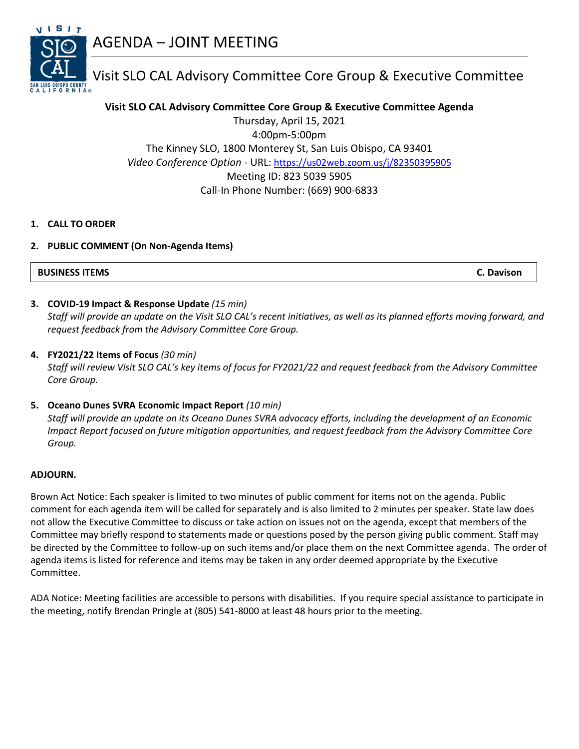



# Visit SLO CAL Advisory Committee Core Group & Executive Committee

## **Visit SLO CAL Advisory Committee Core Group & Executive Committee Agenda**

Thursday, April 15, 2021 4:00pm-5:00pm The Kinney SLO, 1800 Monterey St, San Luis Obispo, CA 93401 *Video Conference Option* - URL: <https://us02web.zoom.us/j/82350395905> Meeting ID: 823 5039 5905 Call-In Phone Number: (669) 900-6833

## **1. CALL TO ORDER**

## **2. PUBLIC COMMENT (On Non-Agenda Items)**

**BUSINESS ITEMS C. Davison**

## **3. COVID-19 Impact & Response Update** *(15 min)*

*Staff will provide an update on the Visit SLO CAL's recent initiatives, as well as its planned efforts moving forward, and request feedback from the Advisory Committee Core Group.*

## **4. FY2021/22 Items of Focus** *(30 min)*

*Staff will review Visit SLO CAL's key items of focus for FY2021/22 and request feedback from the Advisory Committee Core Group.*

#### **5. Oceano Dunes SVRA Economic Impact Report** *(10 min)*

*Staff will provide an update on its Oceano Dunes SVRA advocacy efforts, including the development of an Economic Impact Report focused on future mitigation opportunities, and request feedback from the Advisory Committee Core Group.*

#### **ADJOURN.**

Brown Act Notice: Each speaker is limited to two minutes of public comment for items not on the agenda. Public comment for each agenda item will be called for separately and is also limited to 2 minutes per speaker. State law does not allow the Executive Committee to discuss or take action on issues not on the agenda, except that members of the Committee may briefly respond to statements made or questions posed by the person giving public comment. Staff may be directed by the Committee to follow-up on such items and/or place them on the next Committee agenda. The order of agenda items is listed for reference and items may be taken in any order deemed appropriate by the Executive Committee.

ADA Notice: Meeting facilities are accessible to persons with disabilities. If you require special assistance to participate in the meeting, notify Brendan Pringle at (805) 541-8000 at least 48 hours prior to the meeting.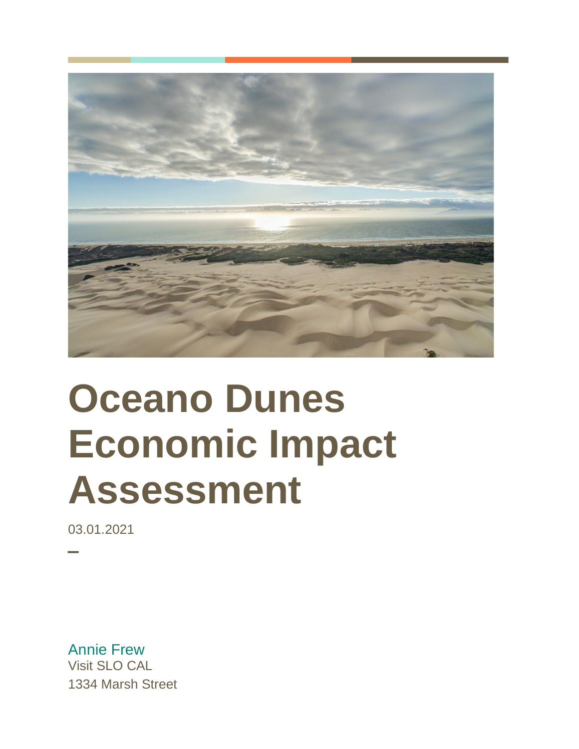

# **Oceano Dunes Economic Impact Assessment**

03.01.2021

─

Annie Frew Visit SLO CAL 1334 Marsh Street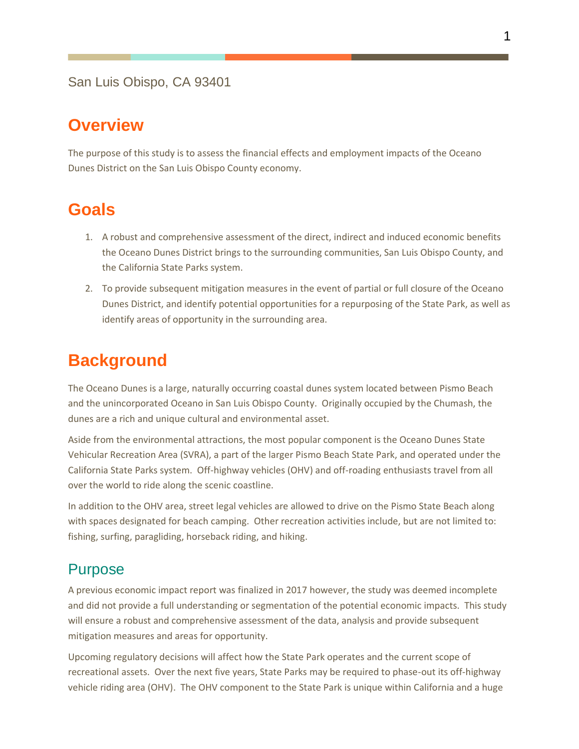## San Luis Obispo, CA 93401

# **Overview**

The purpose of this study is to assess the financial effects and employment impacts of the Oceano Dunes District on the San Luis Obispo County economy.

# **Goals**

- 1. A robust and comprehensive assessment of the direct, indirect and induced economic benefits the Oceano Dunes District brings to the surrounding communities, San Luis Obispo County, and the California State Parks system.
- 2. To provide subsequent mitigation measures in the event of partial or full closure of the Oceano Dunes District, and identify potential opportunities for a repurposing of the State Park, as well as identify areas of opportunity in the surrounding area.

# **Background**

The Oceano Dunes is a large, naturally occurring coastal dunes system located between Pismo Beach and the unincorporated Oceano in San Luis Obispo County. Originally occupied by the Chumash, the dunes are a rich and unique cultural and environmental asset.

Aside from the environmental attractions, the most popular component is the Oceano Dunes State Vehicular Recreation Area (SVRA), a part of the larger Pismo Beach State Park, and operated under the California State Parks system. Off-highway vehicles (OHV) and off-roading enthusiasts travel from all over the world to ride along the scenic coastline.

In addition to the OHV area, street legal vehicles are allowed to drive on the Pismo State Beach along with spaces designated for beach camping. Other recreation activities include, but are not limited to: fishing, surfing, paragliding, horseback riding, and hiking.

# Purpose

A previous economic impact report was finalized in 2017 however, the study was deemed incomplete and did not provide a full understanding or segmentation of the potential economic impacts. This study will ensure a robust and comprehensive assessment of the data, analysis and provide subsequent mitigation measures and areas for opportunity.

Upcoming regulatory decisions will affect how the State Park operates and the current scope of recreational assets. Over the next five years, State Parks may be required to phase-out its off-highway vehicle riding area (OHV). The OHV component to the State Park is unique within California and a huge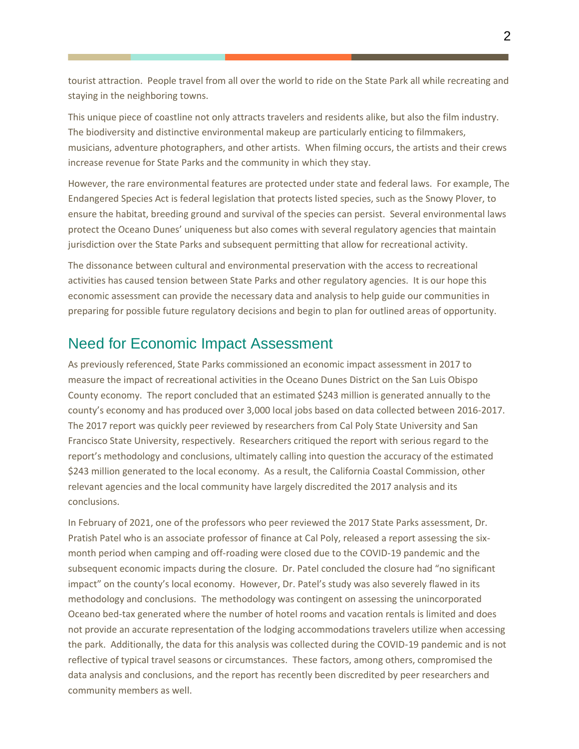tourist attraction. People travel from all over the world to ride on the State Park all while recreating and staying in the neighboring towns.

This unique piece of coastline not only attracts travelers and residents alike, but also the film industry. The biodiversity and distinctive environmental makeup are particularly enticing to filmmakers, musicians, adventure photographers, and other artists. When filming occurs, the artists and their crews increase revenue for State Parks and the community in which they stay.

However, the rare environmental features are protected under state and federal laws. For example, The Endangered Species Act is federal legislation that protects listed species, such as the Snowy Plover, to ensure the habitat, breeding ground and survival of the species can persist. Several environmental laws protect the Oceano Dunes' uniqueness but also comes with several regulatory agencies that maintain jurisdiction over the State Parks and subsequent permitting that allow for recreational activity.

The dissonance between cultural and environmental preservation with the access to recreational activities has caused tension between State Parks and other regulatory agencies. It is our hope this economic assessment can provide the necessary data and analysis to help guide our communities in preparing for possible future regulatory decisions and begin to plan for outlined areas of opportunity.

# Need for Economic Impact Assessment

As previously referenced, State Parks commissioned an economic impact assessment in 2017 to measure the impact of recreational activities in the Oceano Dunes District on the San Luis Obispo County economy. The report concluded that an estimated \$243 million is generated annually to the county's economy and has produced over 3,000 local jobs based on data collected between 2016-2017. The 2017 report was quickly peer reviewed by researchers from Cal Poly State University and San Francisco State University, respectively. Researchers critiqued the report with serious regard to the report's methodology and conclusions, ultimately calling into question the accuracy of the estimated \$243 million generated to the local economy. As a result, the California Coastal Commission, other relevant agencies and the local community have largely discredited the 2017 analysis and its conclusions.

In February of 2021, one of the professors who peer reviewed the 2017 State Parks assessment, Dr. Pratish Patel who is an associate professor of finance at Cal Poly, released a report assessing the sixmonth period when camping and off-roading were closed due to the COVID-19 pandemic and the subsequent economic impacts during the closure. Dr. Patel concluded the closure had "no significant impact" on the county's local economy. However, Dr. Patel's study was also severely flawed in its methodology and conclusions. The methodology was contingent on assessing the unincorporated Oceano bed-tax generated where the number of hotel rooms and vacation rentals is limited and does not provide an accurate representation of the lodging accommodations travelers utilize when accessing the park. Additionally, the data for this analysis was collected during the COVID-19 pandemic and is not reflective of typical travel seasons or circumstances. These factors, among others, compromised the data analysis and conclusions, and the report has recently been discredited by peer researchers and community members as well.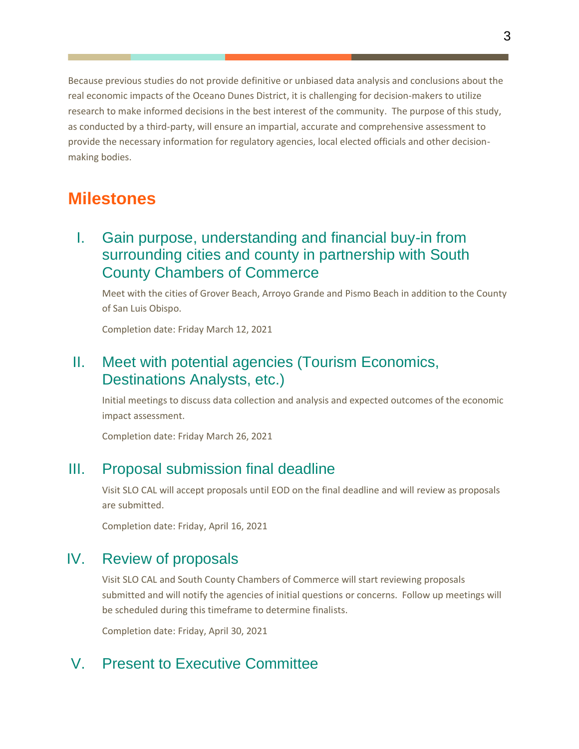Because previous studies do not provide definitive or unbiased data analysis and conclusions about the real economic impacts of the Oceano Dunes District, it is challenging for decision-makers to utilize research to make informed decisions in the best interest of the community. The purpose of this study, as conducted by a third-party, will ensure an impartial, accurate and comprehensive assessment to provide the necessary information for regulatory agencies, local elected officials and other decisionmaking bodies.

# **Milestones**

# I. Gain purpose, understanding and financial buy-in from surrounding cities and county in partnership with South County Chambers of Commerce

Meet with the cities of Grover Beach, Arroyo Grande and Pismo Beach in addition to the County of San Luis Obispo.

Completion date: Friday March 12, 2021

# II. Meet with potential agencies (Tourism Economics, Destinations Analysts, etc.)

Initial meetings to discuss data collection and analysis and expected outcomes of the economic impact assessment.

Completion date: Friday March 26, 2021

# III. Proposal submission final deadline

Visit SLO CAL will accept proposals until EOD on the final deadline and will review as proposals are submitted.

Completion date: Friday, April 16, 2021

# IV. Review of proposals

Visit SLO CAL and South County Chambers of Commerce will start reviewing proposals submitted and will notify the agencies of initial questions or concerns. Follow up meetings will be scheduled during this timeframe to determine finalists.

Completion date: Friday, April 30, 2021

# V. Present to Executive Committee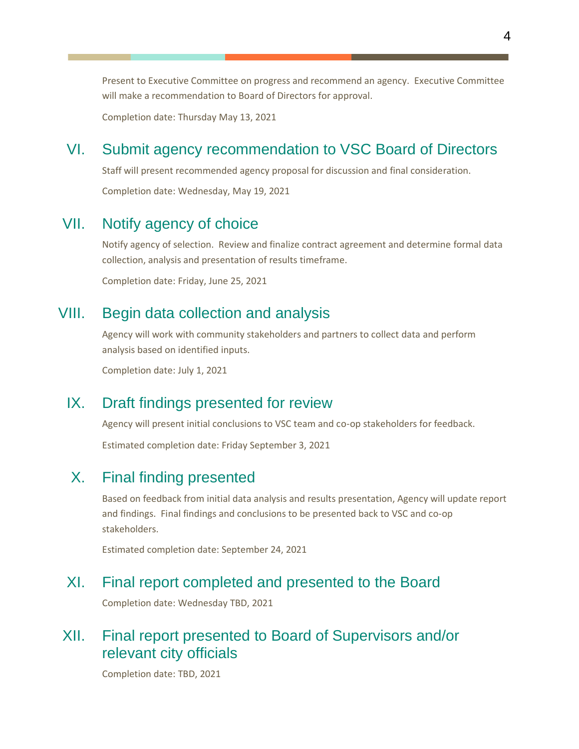Present to Executive Committee on progress and recommend an agency. Executive Committee will make a recommendation to Board of Directors for approval.

Completion date: Thursday May 13, 2021

# VI. Submit agency recommendation to VSC Board of Directors

Staff will present recommended agency proposal for discussion and final consideration.

Completion date: Wednesday, May 19, 2021

# VII. Notify agency of choice

Notify agency of selection. Review and finalize contract agreement and determine formal data collection, analysis and presentation of results timeframe.

Completion date: Friday, June 25, 2021

## VIII. Begin data collection and analysis

Agency will work with community stakeholders and partners to collect data and perform analysis based on identified inputs.

Completion date: July 1, 2021

## IX. Draft findings presented for review

Agency will present initial conclusions to VSC team and co-op stakeholders for feedback.

Estimated completion date: Friday September 3, 2021

# X. Final finding presented

Based on feedback from initial data analysis and results presentation, Agency will update report and findings. Final findings and conclusions to be presented back to VSC and co-op stakeholders.

Estimated completion date: September 24, 2021

## XI. Final report completed and presented to the Board

Completion date: Wednesday TBD, 2021

# XII. Final report presented to Board of Supervisors and/or relevant city officials

Completion date: TBD, 2021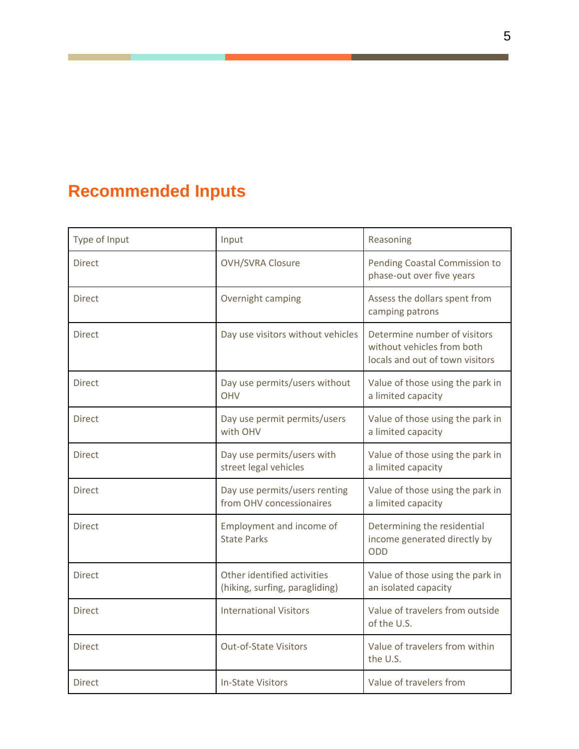# **Recommended Inputs**

| Type of Input | Input                                                         | Reasoning                                                                                     |
|---------------|---------------------------------------------------------------|-----------------------------------------------------------------------------------------------|
| <b>Direct</b> | <b>OVH/SVRA Closure</b>                                       | Pending Coastal Commission to<br>phase-out over five years                                    |
| <b>Direct</b> | Overnight camping                                             | Assess the dollars spent from<br>camping patrons                                              |
| <b>Direct</b> | Day use visitors without vehicles                             | Determine number of visitors<br>without vehicles from both<br>locals and out of town visitors |
| <b>Direct</b> | Day use permits/users without<br><b>OHV</b>                   | Value of those using the park in<br>a limited capacity                                        |
| <b>Direct</b> | Day use permit permits/users<br>with OHV                      | Value of those using the park in<br>a limited capacity                                        |
| <b>Direct</b> | Day use permits/users with<br>street legal vehicles           | Value of those using the park in<br>a limited capacity                                        |
| <b>Direct</b> | Day use permits/users renting<br>from OHV concessionaires     | Value of those using the park in<br>a limited capacity                                        |
| <b>Direct</b> | Employment and income of<br><b>State Parks</b>                | Determining the residential<br>income generated directly by<br>ODD                            |
| <b>Direct</b> | Other identified activities<br>(hiking, surfing, paragliding) | Value of those using the park in<br>an isolated capacity                                      |
| <b>Direct</b> | <b>International Visitors</b>                                 | Value of travelers from outside<br>of the U.S.                                                |
| <b>Direct</b> | <b>Out-of-State Visitors</b>                                  | Value of travelers from within<br>the U.S.                                                    |
| <b>Direct</b> | <b>In-State Visitors</b>                                      | Value of travelers from                                                                       |

 $\mathcal{L}_{\mathcal{A}}$